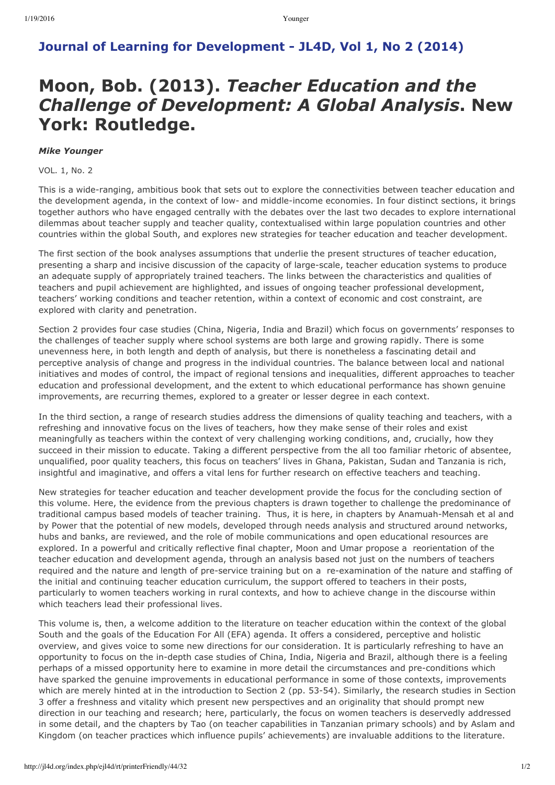## **Journal of Learning for Development JL4D, Vol 1, No 2 (2014)**

# **Moon, Bob. (2013).** *Teacher Education and the Challenge of Development: A Global Analysis***. New York: Routledge.**

### *Mike Younger*

#### VOL. 1, No. 2

This is a wide-ranging, ambitious book that sets out to explore the connectivities between teacher education and the development agenda, in the context of low- and middle-income economies. In four distinct sections, it brings together authors who have engaged centrally with the debates over the last two decades to explore international dilemmas about teacher supply and teacher quality, contextualised within large population countries and other countries within the global South, and explores new strategies for teacher education and teacher development.

The first section of the book analyses assumptions that underlie the present structures of teacher education, presenting a sharp and incisive discussion of the capacity of large-scale, teacher education systems to produce an adequate supply of appropriately trained teachers. The links between the characteristics and qualities of teachers and pupil achievement are highlighted, and issues of ongoing teacher professional development, teachers' working conditions and teacher retention, within a context of economic and cost constraint, are explored with clarity and penetration.

Section 2 provides four case studies (China, Nigeria, India and Brazil) which focus on governments' responses to the challenges of teacher supply where school systems are both large and growing rapidly. There is some unevenness here, in both length and depth of analysis, but there is nonetheless a fascinating detail and perceptive analysis of change and progress in the individual countries. The balance between local and national initiatives and modes of control, the impact of regional tensions and inequalities, different approaches to teacher education and professional development, and the extent to which educational performance has shown genuine improvements, are recurring themes, explored to a greater or lesser degree in each context.

In the third section, a range of research studies address the dimensions of quality teaching and teachers, with a refreshing and innovative focus on the lives of teachers, how they make sense of their roles and exist meaningfully as teachers within the context of very challenging working conditions, and, crucially, how they succeed in their mission to educate. Taking a different perspective from the all too familiar rhetoric of absentee, unqualified, poor quality teachers, this focus on teachers' lives in Ghana, Pakistan, Sudan and Tanzania is rich, insightful and imaginative, and offers a vital lens for further research on effective teachers and teaching.

New strategies for teacher education and teacher development provide the focus for the concluding section of this volume. Here, the evidence from the previous chapters is drawn together to challenge the predominance of traditional campus based models of teacher training. Thus, it is here, in chapters by Anamuah-Mensah et al and by Power that the potential of new models, developed through needs analysis and structured around networks, hubs and banks, are reviewed, and the role of mobile communications and open educational resources are explored. In a powerful and critically reflective final chapter, Moon and Umar propose a reorientation of the teacher education and development agenda, through an analysis based not just on the numbers of teachers required and the nature and length of pre-service training but on a re-examination of the nature and staffing of the initial and continuing teacher education curriculum, the support offered to teachers in their posts, particularly to women teachers working in rural contexts, and how to achieve change in the discourse within which teachers lead their professional lives.

This volume is, then, a welcome addition to the literature on teacher education within the context of the global South and the goals of the Education For All (EFA) agenda. It offers a considered, perceptive and holistic overview, and gives voice to some new directions for our consideration. It is particularly refreshing to have an opportunity to focus on the in-depth case studies of China, India, Nigeria and Brazil, although there is a feeling perhaps of a missed opportunity here to examine in more detail the circumstances and pre-conditions which have sparked the genuine improvements in educational performance in some of those contexts, improvements which are merely hinted at in the introduction to Section 2 (pp. 53-54). Similarly, the research studies in Section 3 offer a freshness and vitality which present new perspectives and an originality that should prompt new direction in our teaching and research; here, particularly, the focus on women teachers is deservedly addressed in some detail, and the chapters by Tao (on teacher capabilities in Tanzanian primary schools) and by Aslam and Kingdom (on teacher practices which influence pupils' achievements) are invaluable additions to the literature.